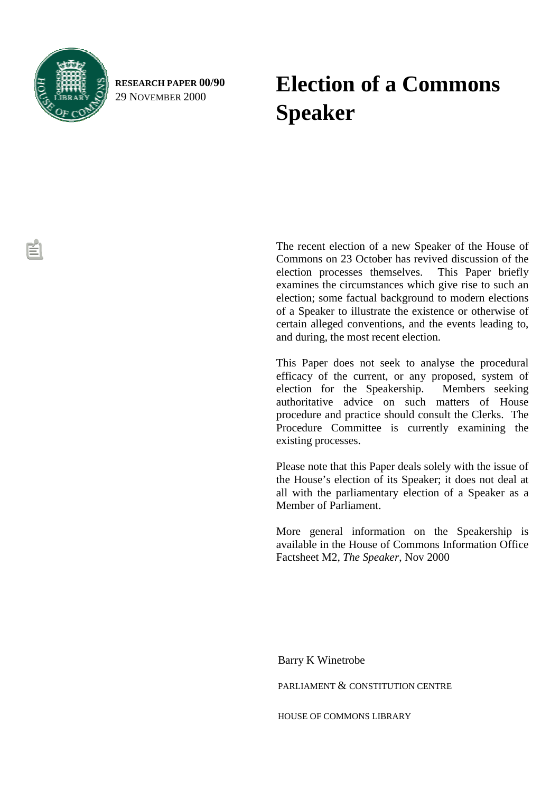

**RESEARCH PAPER 00/90** 29 NOVEMBER 2000

# **Election of a Commons Speaker**

The recent election of a new Speaker of the House of Commons on 23 October has revived discussion of the election processes themselves. This Paper briefly examines the circumstances which give rise to such an election; some factual background to modern elections of a Speaker to illustrate the existence or otherwise of certain alleged conventions, and the events leading to, and during, the most recent election.

This Paper does not seek to analyse the procedural efficacy of the current, or any proposed, system of election for the Speakership. Members seeking authoritative advice on such matters of House procedure and practice should consult the Clerks. The Procedure Committee is currently examining the existing processes.

Please note that this Paper deals solely with the issue of the House's election of its Speaker; it does not deal at all with the parliamentary election of a Speaker as a Member of Parliament.

More general information on the Speakership is available in the House of Commons Information Office Factsheet M2, *The Speaker*, Nov 2000

Barry K Winetrobe

PARLIAMENT & CONSTITUTION CENTRE

HOUSE OF COMMONS LIBRARY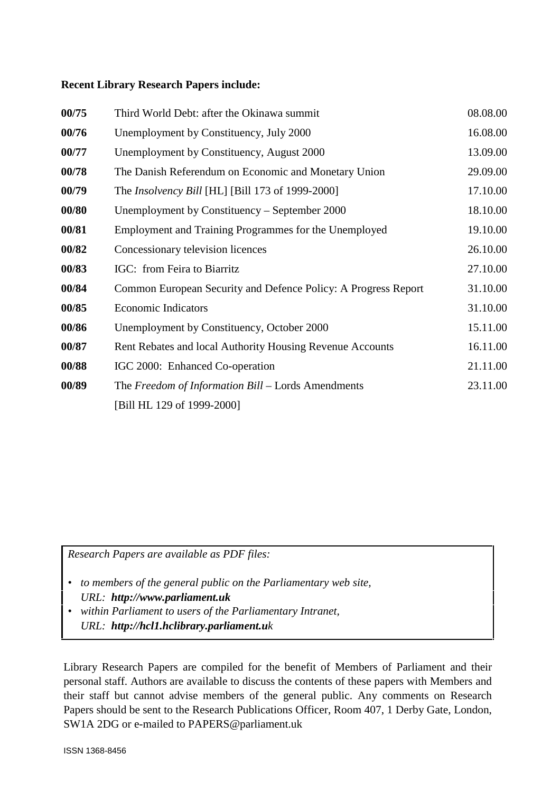### **Recent Library Research Papers include:**

| 00/75 | Third World Debt: after the Okinawa summit                     | 08.08.00 |
|-------|----------------------------------------------------------------|----------|
| 00/76 | Unemployment by Constituency, July 2000                        | 16.08.00 |
| 00/77 | Unemployment by Constituency, August 2000                      | 13.09.00 |
| 00/78 | The Danish Referendum on Economic and Monetary Union           | 29.09.00 |
| 00/79 | The Insolvency Bill [HL] [Bill 173 of 1999-2000]               | 17.10.00 |
| 00/80 | Unemployment by Constituency – September 2000                  | 18.10.00 |
| 00/81 | Employment and Training Programmes for the Unemployed          | 19.10.00 |
| 00/82 | Concessionary television licences                              | 26.10.00 |
| 00/83 | IGC: from Feira to Biarritz                                    | 27.10.00 |
| 00/84 | Common European Security and Defence Policy: A Progress Report | 31.10.00 |
| 00/85 | <b>Economic Indicators</b>                                     | 31.10.00 |
| 00/86 | Unemployment by Constituency, October 2000                     | 15.11.00 |
| 00/87 | Rent Rebates and local Authority Housing Revenue Accounts      | 16.11.00 |
| 00/88 | IGC 2000: Enhanced Co-operation                                | 21.11.00 |
| 00/89 | The Freedom of Information Bill – Lords Amendments             | 23.11.00 |
|       | [Bill HL 129 of 1999-2000]                                     |          |

*Research Papers are available as PDF files:*

- *to members of the general public on the Parliamentary web site, URL: http://www.parliament.uk*
- *within Parliament to users of the Parliamentary Intranet, URL: http://hcl1.hclibrary.parliament.uk*

Library Research Papers are compiled for the benefit of Members of Parliament and their personal staff. Authors are available to discuss the contents of these papers with Members and their staff but cannot advise members of the general public. Any comments on Research Papers should be sent to the Research Publications Officer, Room 407, 1 Derby Gate, London, SW1A 2DG or e-mailed to PAPERS@parliament.uk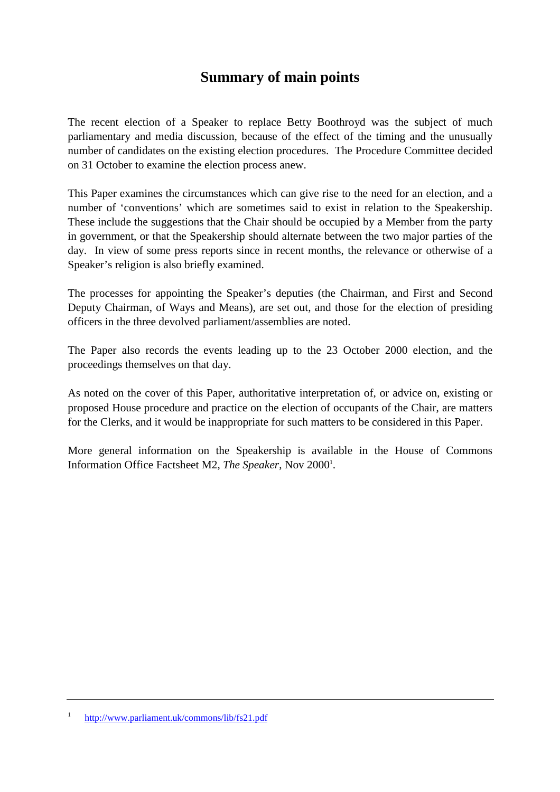# **Summary of main points**

The recent election of a Speaker to replace Betty Boothroyd was the subject of much parliamentary and media discussion, because of the effect of the timing and the unusually number of candidates on the existing election procedures. The Procedure Committee decided on 31 October to examine the election process anew.

This Paper examines the circumstances which can give rise to the need for an election, and a number of 'conventions' which are sometimes said to exist in relation to the Speakership. These include the suggestions that the Chair should be occupied by a Member from the party in government, or that the Speakership should alternate between the two major parties of the day. In view of some press reports since in recent months, the relevance or otherwise of a Speaker's religion is also briefly examined.

The processes for appointing the Speaker's deputies (the Chairman, and First and Second Deputy Chairman, of Ways and Means), are set out, and those for the election of presiding officers in the three devolved parliament/assemblies are noted.

The Paper also records the events leading up to the 23 October 2000 election, and the proceedings themselves on that day.

As noted on the cover of this Paper, authoritative interpretation of, or advice on, existing or proposed House procedure and practice on the election of occupants of the Chair, are matters for the Clerks, and it would be inappropriate for such matters to be considered in this Paper.

More general information on the Speakership is available in the House of Commons Information Office Factsheet M2, *The Speaker*, Nov 2000<sup>1</sup>.

<sup>1</sup> <http://www.parliament.uk/commons/lib/fs21.pdf>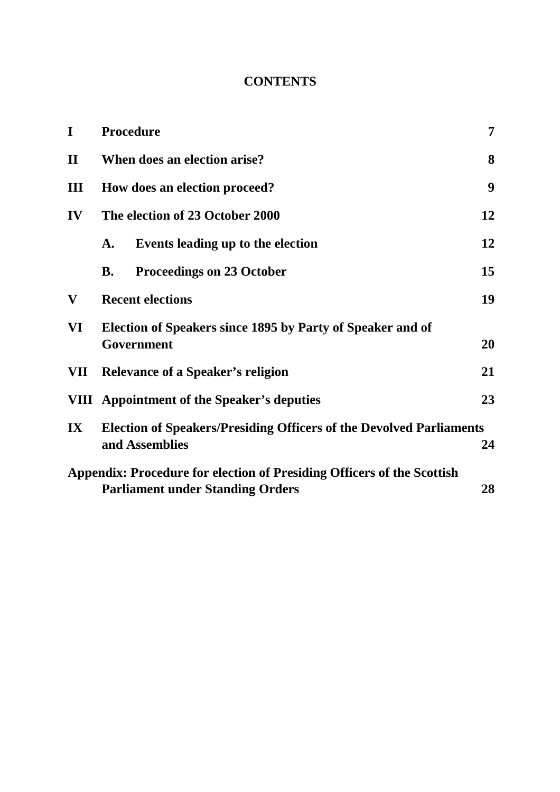### **CONTENTS**

| I                       | <b>Procedure</b>                                                                                                        | 7  |  |  |  |
|-------------------------|-------------------------------------------------------------------------------------------------------------------------|----|--|--|--|
| $\mathbf{I}$            | When does an election arise?                                                                                            |    |  |  |  |
| Ш                       | How does an election proceed?                                                                                           |    |  |  |  |
| IV                      | The election of 23 October 2000<br>12                                                                                   |    |  |  |  |
|                         | Events leading up to the election<br>A.                                                                                 | 12 |  |  |  |
|                         | <b>Proceedings on 23 October</b><br><b>B.</b>                                                                           | 15 |  |  |  |
| $\mathbf{V}$            | 19<br><b>Recent elections</b>                                                                                           |    |  |  |  |
| VI                      | Election of Speakers since 1895 by Party of Speaker and of<br>Government<br>20                                          |    |  |  |  |
| VII                     | 21<br><b>Relevance of a Speaker's religion</b>                                                                          |    |  |  |  |
|                         | <b>VIII</b> Appointment of the Speaker's deputies<br>23                                                                 |    |  |  |  |
| $\mathbf{I} \mathbf{X}$ | <b>Election of Speakers/Presiding Officers of the Devolved Parliaments</b><br>and Assemblies<br>24                      |    |  |  |  |
|                         | Appendix: Procedure for election of Presiding Officers of the Scottish<br><b>Parliament under Standing Orders</b><br>28 |    |  |  |  |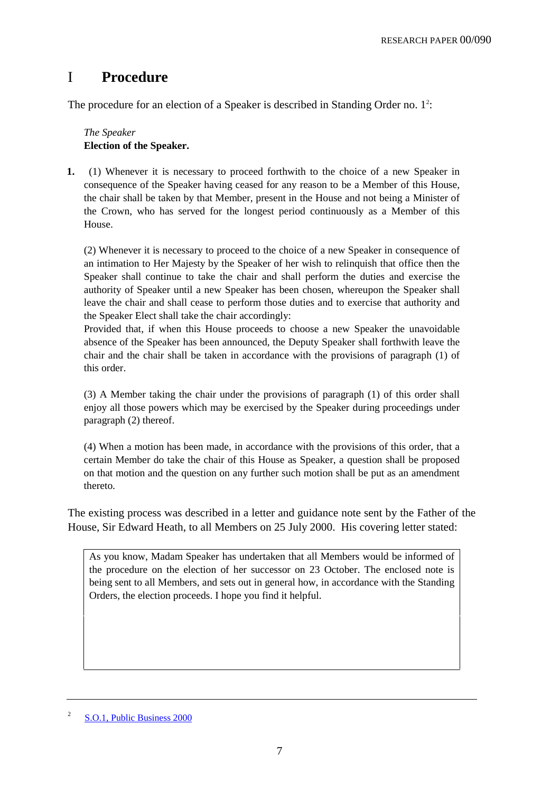### I **Procedure**

The procedure for an election of a Speaker is described in Standing Order no.  $1<sup>2</sup>$ :

### *The Speaker* **Election of the Speaker.**

**1.** (1) Whenever it is necessary to proceed forthwith to the choice of a new Speaker in consequence of the Speaker having ceased for any reason to be a Member of this House, the chair shall be taken by that Member, present in the House and not being a Minister of the Crown, who has served for the longest period continuously as a Member of this House.

(2) Whenever it is necessary to proceed to the choice of a new Speaker in consequence of an intimation to Her Majesty by the Speaker of her wish to relinquish that office then the Speaker shall continue to take the chair and shall perform the duties and exercise the authority of Speaker until a new Speaker has been chosen, whereupon the Speaker shall leave the chair and shall cease to perform those duties and to exercise that authority and the Speaker Elect shall take the chair accordingly:

Provided that, if when this House proceeds to choose a new Speaker the unavoidable absence of the Speaker has been announced, the Deputy Speaker shall forthwith leave the chair and the chair shall be taken in accordance with the provisions of paragraph (1) of this order.

(3) A Member taking the chair under the provisions of paragraph (1) of this order shall enjoy all those powers which may be exercised by the Speaker during proceedings under paragraph (2) thereof.

(4) When a motion has been made, in accordance with the provisions of this order, that a certain Member do take the chair of this House as Speaker, a question shall be proposed on that motion and the question on any further such motion shall be put as an amendment thereto.

The existing process was described in a letter and guidance note sent by the Father of the House, Sir Edward Heath, to all Members on 25 July 2000. His covering letter stated:

As you know, Madam Speaker has undertaken that all Members would be informed of the procedure on the election of her successor on 23 October. The enclosed note is being sent to all Members, and sets out in general how, in accordance with the Standing Orders, the election proceeds. I hope you find it helpful.

<sup>2</sup> S.O.1, Public Business 2000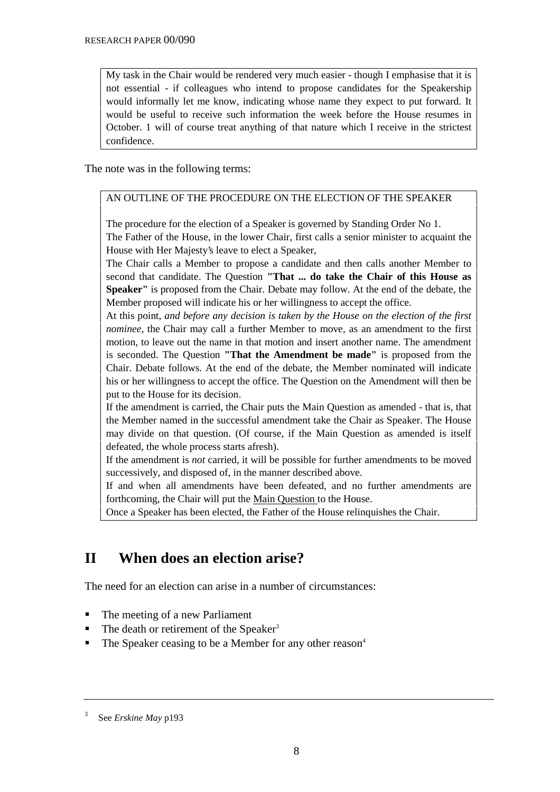My task in the Chair would be rendered very much easier - though I emphasise that it is not essential - if colleagues who intend to propose candidates for the Speakership would informally let me know, indicating whose name they expect to put forward. It would be useful to receive such information the week before the House resumes in October. 1 will of course treat anything of that nature which I receive in the strictest confidence.

The note was in the following terms:

### AN OUTLINE OF THE PROCEDURE ON THE ELECTION OF THE SPEAKER

The procedure for the election of a Speaker is governed by Standing Order No 1. The Father of the House, in the lower Chair, first calls a senior minister to acquaint the House with Her Majesty's leave to elect a Speaker,

The Chair calls a Member to propose a candidate and then calls another Member to second that candidate. The Question **"That ... do take the Chair of this House as Speaker"** is proposed from the Chair. Debate may follow. At the end of the debate, the Member proposed will indicate his or her willingness to accept the office.

At this point, *and before any decision is taken by the House on the election of the first nominee,* the Chair may call a further Member to move, as an amendment to the first motion, to leave out the name in that motion and insert another name. The amendment is seconded. The Question **"That the Amendment be made"** is proposed from the Chair. Debate follows. At the end of the debate, the Member nominated will indicate his or her willingness to accept the office. The Question on the Amendment will then be put to the House for its decision.

If the amendment is carried, the Chair puts the Main Question as amended - that is, that the Member named in the successful amendment take the Chair as Speaker. The House may divide on that question. (Of course, if the Main Question as amended is itself defeated, the whole process starts afresh).

If the amendment is *not* carried, it will be possible for further amendments to be moved successively, and disposed of, in the manner described above.

If and when all amendments have been defeated, and no further amendments are forthcoming, the Chair will put the Main Question to the House.

Once a Speaker has been elected, the Father of the House relinquishes the Chair.

# **II When does an election arise?**

The need for an election can arise in a number of circumstances:

- The meeting of a new Parliament
- $\blacksquare$  The death or retirement of the Speaker<sup>3</sup>
- $\blacksquare$  The Speaker ceasing to be a Member for any other reason<sup>4</sup>

<sup>3</sup> See *Erskine May* p193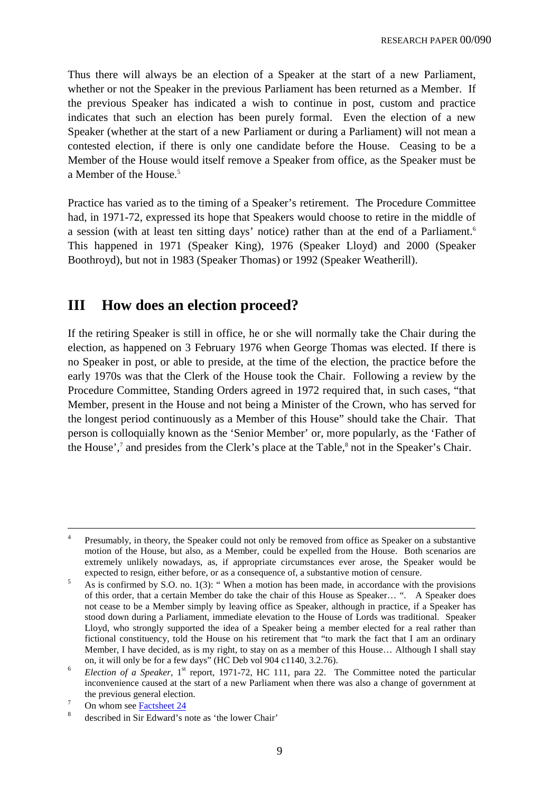Thus there will always be an election of a Speaker at the start of a new Parliament, whether or not the Speaker in the previous Parliament has been returned as a Member. If the previous Speaker has indicated a wish to continue in post, custom and practice indicates that such an election has been purely formal. Even the election of a new Speaker (whether at the start of a new Parliament or during a Parliament) will not mean a contested election, if there is only one candidate before the House. Ceasing to be a Member of the House would itself remove a Speaker from office, as the Speaker must be a Member of the House.<sup>5</sup>

Practice has varied as to the timing of a Speaker's retirement. The Procedure Committee had, in 1971-72, expressed its hope that Speakers would choose to retire in the middle of a session (with at least ten sitting days' notice) rather than at the end of a Parliament.<sup>6</sup> This happened in 1971 (Speaker King), 1976 (Speaker Lloyd) and 2000 (Speaker Boothroyd), but not in 1983 (Speaker Thomas) or 1992 (Speaker Weatherill).

### **III How does an election proceed?**

If the retiring Speaker is still in office, he or she will normally take the Chair during the election, as happened on 3 February 1976 when George Thomas was elected. If there is no Speaker in post, or able to preside, at the time of the election, the practice before the early 1970s was that the Clerk of the House took the Chair. Following a review by the Procedure Committee, Standing Orders agreed in 1972 required that, in such cases, "that Member, present in the House and not being a Minister of the Crown, who has served for the longest period continuously as a Member of this House" should take the Chair. That person is colloquially known as the 'Senior Member' or, more popularly, as the 'Father of the House',<sup>7</sup> and presides from the Clerk's place at the Table, $^8$  not in the Speaker's Chair.

 $\frac{7}{8}$  On whom see <u>Factsheet 24</u>

<sup>&</sup>lt;sup>4</sup> Presumably, in theory, the Speaker could not only be removed from office as Speaker on a substantive motion of the House, but also, as a Member, could be expelled from the House. Both scenarios are extremely unlikely nowadays, as, if appropriate circumstances ever arose, the Speaker would be expected to resign, either before, or as a consequence of, a substantive motion of censure.

 $\frac{5}{10}$  As is confirmed by S.O. no. 1(3): "When a motion has been made, in accordance with the provisions of this order, that a certain Member do take the chair of this House as Speaker… ". A Speaker does not cease to be a Member simply by leaving office as Speaker, although in practice, if a Speaker has stood down during a Parliament, immediate elevation to the House of Lords was traditional. Speaker Lloyd, who strongly supported the idea of a Speaker being a member elected for a real rather than fictional constituency, told the House on his retirement that "to mark the fact that I am an ordinary Member, I have decided, as is my right, to stay on as a member of this House… Although I shall stay on, it will only be for a few days" (HC Deb vol 904 c1140, 3.2.76).

 $6$  *Election of a Speaker*,  $1<sup>st</sup>$  report, 1971-72, HC 111, para 22. The Committee noted the particular inconvenience caused at the start of a new Parliament when there was also a change of government at the previous general election.

described in Sir Edward's note as 'the lower Chair'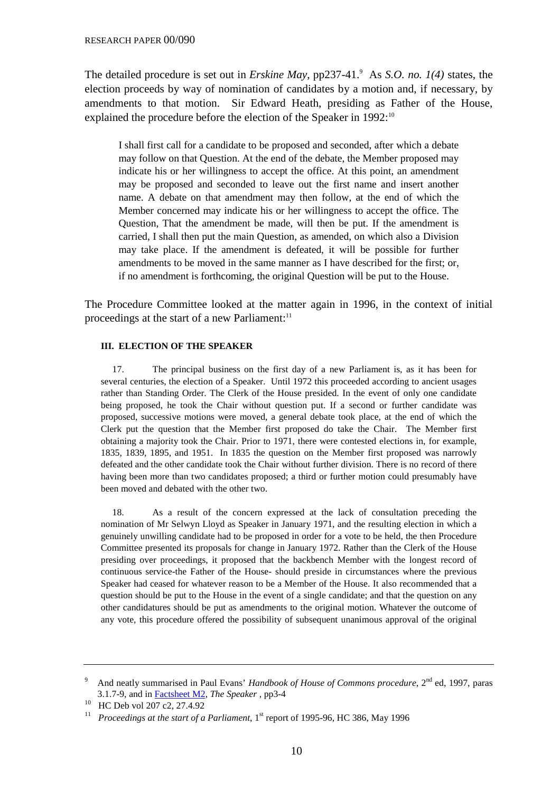The detailed procedure is set out in *Erskine May*, pp237-41.<sup>9</sup> As *S.O. no.* 1(4) states, the election proceeds by way of nomination of candidates by a motion and, if necessary, by amendments to that motion. Sir Edward Heath, presiding as Father of the House, explained the procedure before the election of the Speaker in 1992:<sup>10</sup>

I shall first call for a candidate to be proposed and seconded, after which a debate may follow on that Question. At the end of the debate, the Member proposed may indicate his or her willingness to accept the office. At this point, an amendment may be proposed and seconded to leave out the first name and insert another name. A debate on that amendment may then follow, at the end of which the Member concerned may indicate his or her willingness to accept the office. The Question, That the amendment be made, will then be put. If the amendment is carried, I shall then put the main Question, as amended, on which also a Division may take place. If the amendment is defeated, it will be possible for further amendments to be moved in the same manner as I have described for the first; or, if no amendment is forthcoming, the original Question will be put to the House.

The Procedure Committee looked at the matter again in 1996, in the context of initial proceedings at the start of a new Parliament:<sup>11</sup>

#### **III. ELECTION OF THE SPEAKER**

17. The principal business on the first day of a new Parliament is, as it has been for several centuries, the election of a Speaker. Until 1972 this proceeded according to ancient usages rather than Standing Order. The Clerk of the House presided. In the event of only one candidate being proposed, he took the Chair without question put. If a second or further candidate was proposed, successive motions were moved, a general debate took place, at the end of which the Clerk put the question that the Member first proposed do take the Chair. The Member first obtaining a majority took the Chair. Prior to 1971, there were contested elections in, for example, 1835, 1839, 1895, and 1951. In 1835 the question on the Member first proposed was narrowly defeated and the other candidate took the Chair without further division. There is no record of there having been more than two candidates proposed; a third or further motion could presumably have been moved and debated with the other two.

18. As a result of the concern expressed at the lack of consultation preceding the nomination of Mr Selwyn Lloyd as Speaker in January 1971, and the resulting election in which a genuinely unwilling candidate had to be proposed in order for a vote to be held, the then Procedure Committee presented its proposals for change in January 1972. Rather than the Clerk of the House presiding over proceedings, it proposed that the backbench Member with the longest record of continuous service-the Father of the House- should preside in circumstances where the previous Speaker had ceased for whatever reason to be a Member of the House. It also recommended that a question should be put to the House in the event of a single candidate; and that the question on any other candidatures should be put as amendments to the original motion. Whatever the outcome of any vote, this procedure offered the possibility of subsequent unanimous approval of the original

And neatly summarised in Paul Evans' *Handbook of House of Commons procedure*, 2<sup>nd</sup> ed, 1997, paras 3.1.7-9, and in Factsheet M2, *The Speaker* , pp3-4

<sup>10</sup> HC Deb vol 207 c2, 27.4.92

<sup>&</sup>lt;sup>11</sup> *Proceedings at the start of a Parliament*,  $1<sup>st</sup>$  report of 1995-96, HC 386, May 1996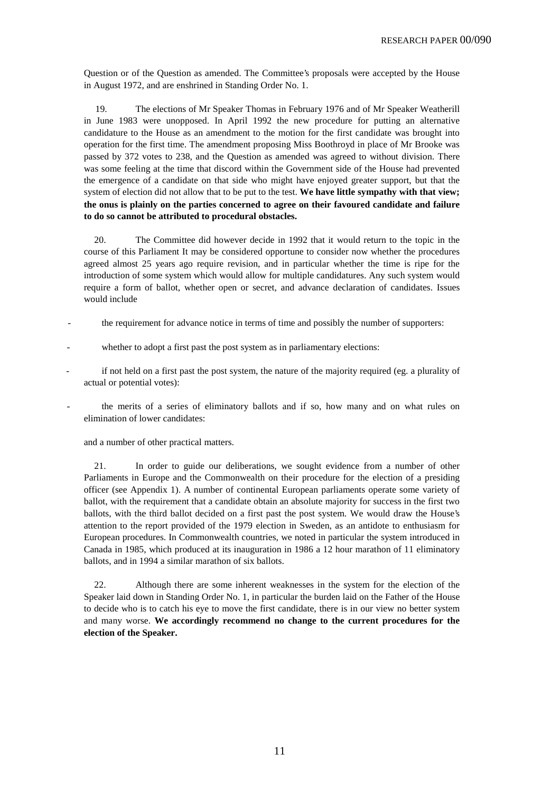Question or of the Question as amended. The Committee's proposals were accepted by the House in August 1972, and are enshrined in Standing Order No. 1.

19. The elections of Mr Speaker Thomas in February 1976 and of Mr Speaker Weatherill in June 1983 were unopposed. In April 1992 the new procedure for putting an alternative candidature to the House as an amendment to the motion for the first candidate was brought into operation for the first time. The amendment proposing Miss Boothroyd in place of Mr Brooke was passed by 372 votes to 238, and the Question as amended was agreed to without division. There was some feeling at the time that discord within the Government side of the House had prevented the emergence of a candidate on that side who might have enjoyed greater support, but that the system of election did not allow that to be put to the test. **We have little sympathy with that view; the onus is plainly on the parties concerned to agree on their favoured candidate and failure to do so cannot be attributed to procedural obstacles.**

20. The Committee did however decide in 1992 that it would return to the topic in the course of this Parliament It may be considered opportune to consider now whether the procedures agreed almost 25 years ago require revision, and in particular whether the time is ripe for the introduction of some system which would allow for multiple candidatures. Any such system would require a form of ballot, whether open or secret, and advance declaration of candidates. Issues would include

- the requirement for advance notice in terms of time and possibly the number of supporters:
- whether to adopt a first past the post system as in parliamentary elections:
- if not held on a first past the post system, the nature of the majority required (eg. a plurality of actual or potential votes):
- the merits of a series of eliminatory ballots and if so, how many and on what rules on elimination of lower candidates:

and a number of other practical matters.

21. In order to guide our deliberations, we sought evidence from a number of other Parliaments in Europe and the Commonwealth on their procedure for the election of a presiding officer (see Appendix 1). A number of continental European parliaments operate some variety of ballot, with the requirement that a candidate obtain an absolute majority for success in the first two ballots, with the third ballot decided on a first past the post system. We would draw the House's attention to the report provided of the 1979 election in Sweden, as an antidote to enthusiasm for European procedures. In Commonwealth countries, we noted in particular the system introduced in Canada in 1985, which produced at its inauguration in 1986 a 12 hour marathon of 11 eliminatory ballots, and in 1994 a similar marathon of six ballots.

22. Although there are some inherent weaknesses in the system for the election of the Speaker laid down in Standing Order No. 1, in particular the burden laid on the Father of the House to decide who is to catch his eye to move the first candidate, there is in our view no better system and many worse. **We accordingly recommend no change to the current procedures for the election of the Speaker.**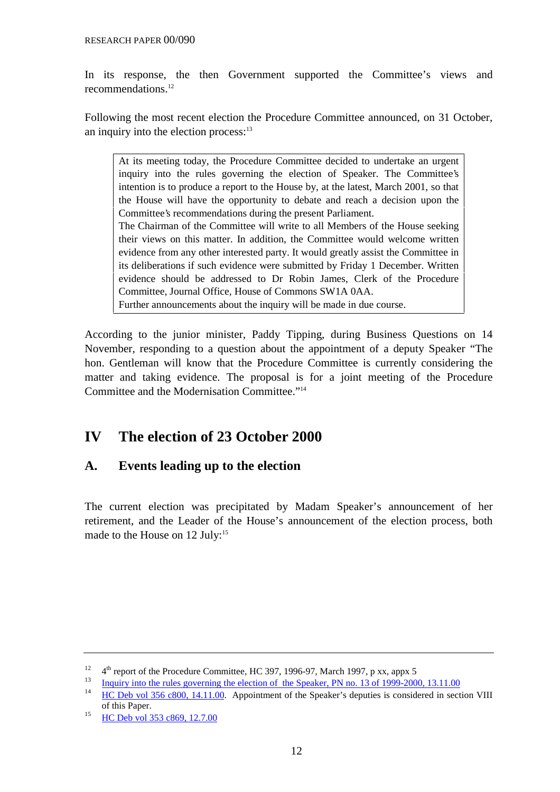In its response, the then Government supported the Committee's views and recommendations.12

Following the most recent election the Procedure Committee announced, on 31 October, an inquiry into the election process: $13$ 

At its meeting today, the Procedure Committee decided to undertake an urgent inquiry into the rules governing the election of Speaker. The Committee's intention is to produce a report to the House by, at the latest, March 2001, so that the House will have the opportunity to debate and reach a decision upon the Committee's recommendations during the present Parliament. The Chairman of the Committee will write to all Members of the House seeking their views on this matter. In addition, the Committee would welcome written evidence from any other interested party. It would greatly assist the Committee in its deliberations if such evidence were submitted by Friday 1 December. Written evidence should be addressed to Dr Robin James, Clerk of the Procedure Committee, Journal Office, House of Commons SW1A 0AA. Further announcements about the inquiry will be made in due course.

According to the junior minister, Paddy Tipping, during Business Questions on 14 November, responding to a question about the appointment of a deputy Speaker "The hon. Gentleman will know that the Procedure Committee is currently considering the matter and taking evidence. The proposal is for a joint meeting of the Procedure Committee and the Modernisation Committee."14

### **IV The election of 23 October 2000**

### **A. Events leading up to the election**

The current election was precipitated by Madam Speaker's announcement of her retirement, and the Leader of the House's announcement of the election process, both made to the House on  $12 \text{ July:}^{15}$ 

<sup>&</sup>lt;sup>12</sup>  $4<sup>th</sup>$  report of the Procedure Committee, HC 397, 1996-97, March 1997, p xx, appx 5

 $\frac{13}{14}$  Inquiry into the rules governing the election of the Speaker, PN no. 13 of 1999-2000, 13.11.00<br>If IC Dak vol. 256, 2000, 14, 11, 00. Appointment of the Speaker's deputies is considered in section

<sup>14</sup> HC Deb vol 356 c800, 14.11.00. Appointment of the Speaker's deputies is considered in section VIII of this Paper.

<sup>&</sup>lt;sup>15</sup> HC Deb vol 353 c869, 12.7.00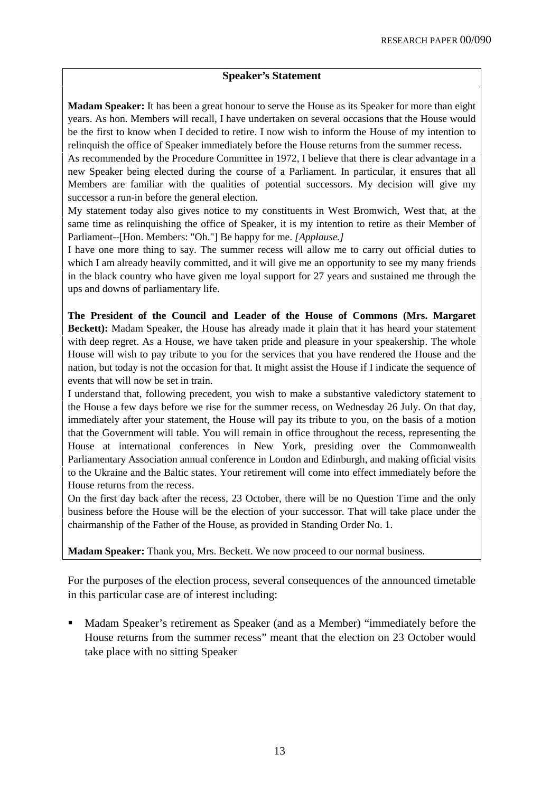### **Speaker's Statement**

**Madam Speaker:** It has been a great honour to serve the House as its Speaker for more than eight years. As hon. Members will recall, I have undertaken on several occasions that the House would be the first to know when I decided to retire. I now wish to inform the House of my intention to relinquish the office of Speaker immediately before the House returns from the summer recess.

As recommended by the Procedure Committee in 1972, I believe that there is clear advantage in a new Speaker being elected during the course of a Parliament. In particular, it ensures that all Members are familiar with the qualities of potential successors. My decision will give my successor a run-in before the general election.

My statement today also gives notice to my constituents in West Bromwich, West that, at the same time as relinquishing the office of Speaker, it is my intention to retire as their Member of Parliament--[Hon. Members: "Oh."] Be happy for me. *[Applause.]*

I have one more thing to say. The summer recess will allow me to carry out official duties to which I am already heavily committed, and it will give me an opportunity to see my many friends in the black country who have given me loyal support for 27 years and sustained me through the ups and downs of parliamentary life.

**The President of the Council and Leader of the House of Commons (Mrs. Margaret Beckett):** Madam Speaker, the House has already made it plain that it has heard your statement with deep regret. As a House, we have taken pride and pleasure in your speakership. The whole House will wish to pay tribute to you for the services that you have rendered the House and the nation, but today is not the occasion for that. It might assist the House if I indicate the sequence of events that will now be set in train.

I understand that, following precedent, you wish to make a substantive valedictory statement to the House a few days before we rise for the summer recess, on Wednesday 26 July. On that day, immediately after your statement, the House will pay its tribute to you, on the basis of a motion that the Government will table. You will remain in office throughout the recess, representing the House at international conferences in New York, presiding over the Commonwealth Parliamentary Association annual conference in London and Edinburgh, and making official visits to the Ukraine and the Baltic states. Your retirement will come into effect immediately before the House returns from the recess.

On the first day back after the recess, 23 October, there will be no Question Time and the only business before the House will be the election of your successor. That will take place under the chairmanship of the Father of the House, as provided in Standing Order No. 1.

**Madam Speaker:** Thank you, Mrs. Beckett. We now proceed to our normal business.

For the purposes of the election process, several consequences of the announced timetable in this particular case are of interest including:

 Madam Speaker's retirement as Speaker (and as a Member) "immediately before the House returns from the summer recess" meant that the election on 23 October would take place with no sitting Speaker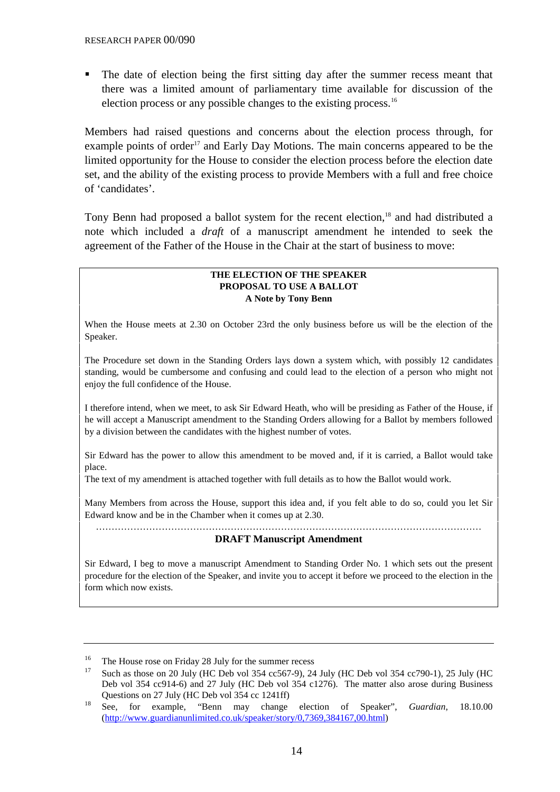The date of election being the first sitting day after the summer recess meant that there was a limited amount of parliamentary time available for discussion of the election process or any possible changes to the existing process.16

Members had raised questions and concerns about the election process through, for example points of order<sup>17</sup> and Early Day Motions. The main concerns appeared to be the limited opportunity for the House to consider the election process before the election date set, and the ability of the existing process to provide Members with a full and free choice of 'candidates'.

Tony Benn had proposed a ballot system for the recent election,<sup>18</sup> and had distributed a note which included a *draft* of a manuscript amendment he intended to seek the agreement of the Father of the House in the Chair at the start of business to move:

### **THE ELECTION OF THE SPEAKER PROPOSAL TO USE A BALLOT A Note by Tony Benn**

When the House meets at 2.30 on October 23rd the only business before us will be the election of the Speaker.

The Procedure set down in the Standing Orders lays down a system which, with possibly 12 candidates standing, would be cumbersome and confusing and could lead to the election of a person who might not enjoy the full confidence of the House.

I therefore intend, when we meet, to ask Sir Edward Heath, who will be presiding as Father of the House, if he will accept a Manuscript amendment to the Standing Orders allowing for a Ballot by members followed by a division between the candidates with the highest number of votes.

Sir Edward has the power to allow this amendment to be moved and, if it is carried, a Ballot would take place.

The text of my amendment is attached together with full details as to how the Ballot would work.

Many Members from across the House, support this idea and, if you felt able to do so, could you let Sir Edward know and be in the Chamber when it comes up at 2.30.

#### …………………………………………………………………………………………………………… **DRAFT Manuscript Amendment**

Sir Edward, I beg to move a manuscript Amendment to Standing Order No. 1 which sets out the present procedure for the election of the Speaker, and invite you to accept it before we proceed to the election in the form which now exists.

<sup>&</sup>lt;sup>16</sup> The House rose on Friday 28 July for the summer recess<br><sup>17</sup> Such as there as 20 July (UC Deb use 254 as 567.0), 24

Such as those on 20 July (HC Deb vol 354 cc567-9), 24 July (HC Deb vol 354 cc790-1), 25 July (HC Deb vol 354 cc914-6) and 27 July (HC Deb vol 354 c1276). The matter also arose during Business Questions on 27 July (HC Deb vol 354 cc 1241ff)

<sup>18</sup> See, for example, "Benn may change election of Speaker", *Guardian*, 18.10.00 [\(http://www.guardianunlimited.co.uk/speaker/story/0,7369,384167,00.html\)](http://www.guardianunlimited.co.uk/speaker/story/0,7369,384167,00.html)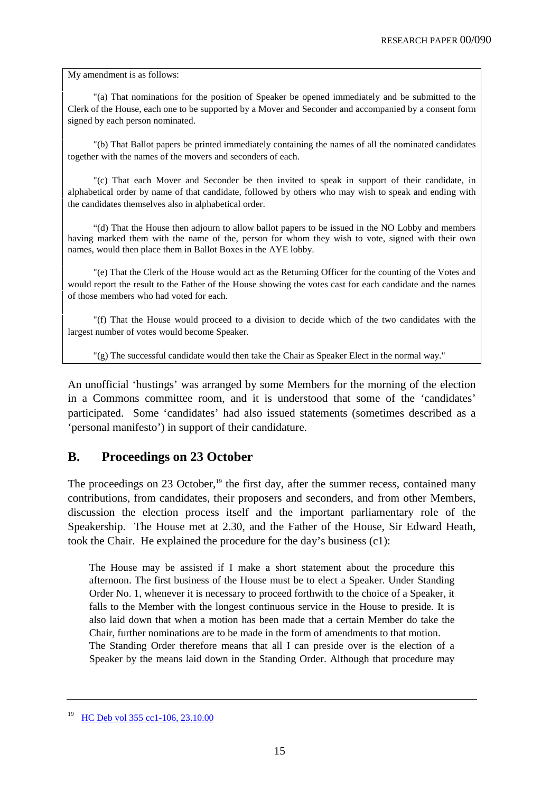My amendment is as follows:

"(a) That nominations for the position of Speaker be opened immediately and be submitted to the Clerk of the House, each one to be supported by a Mover and Seconder and accompanied by a consent form signed by each person nominated.

"(b) That Ballot papers be printed immediately containing the names of all the nominated candidates together with the names of the movers and seconders of each.

"(c) That each Mover and Seconder be then invited to speak in support of their candidate, in alphabetical order by name of that candidate, followed by others who may wish to speak and ending with the candidates themselves also in alphabetical order.

"(d) That the House then adjourn to allow ballot papers to be issued in the NO Lobby and members having marked them with the name of the, person for whom they wish to vote, signed with their own names, would then place them in Ballot Boxes in the AYE lobby.

"(e) That the Clerk of the House would act as the Returning Officer for the counting of the Votes and would report the result to the Father of the House showing the votes cast for each candidate and the names of those members who had voted for each.

"(f) That the House would proceed to a division to decide which of the two candidates with the largest number of votes would become Speaker.

"(g) The successful candidate would then take the Chair as Speaker Elect in the normal way."

An unofficial 'hustings' was arranged by some Members for the morning of the election in a Commons committee room, and it is understood that some of the 'candidates' participated. Some 'candidates' had also issued statements (sometimes described as a 'personal manifesto') in support of their candidature.

### **B. Proceedings on 23 October**

The proceedings on 23 October, $19$  the first day, after the summer recess, contained many contributions, from candidates, their proposers and seconders, and from other Members, discussion the election process itself and the important parliamentary role of the Speakership. The House met at 2.30, and the Father of the House, Sir Edward Heath, took the Chair. He explained the procedure for the day's business (c1):

The House may be assisted if I make a short statement about the procedure this afternoon. The first business of the House must be to elect a Speaker. Under Standing Order No. 1, whenever it is necessary to proceed forthwith to the choice of a Speaker, it falls to the Member with the longest continuous service in the House to preside. It is also laid down that when a motion has been made that a certain Member do take the Chair, further nominations are to be made in the form of amendments to that motion. The Standing Order therefore means that all I can preside over is the election of a Speaker by the means laid down in the Standing Order. Although that procedure may

<sup>&</sup>lt;sup>19</sup> HC Deb vol 355 cc1-106, 23.10.00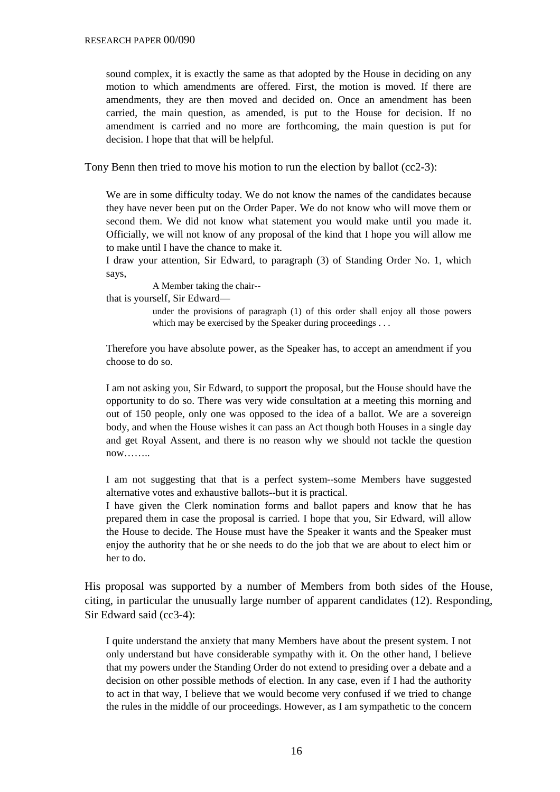sound complex, it is exactly the same as that adopted by the House in deciding on any motion to which amendments are offered. First, the motion is moved. If there are amendments, they are then moved and decided on. Once an amendment has been carried, the main question, as amended, is put to the House for decision. If no amendment is carried and no more are forthcoming, the main question is put for decision. I hope that that will be helpful.

Tony Benn then tried to move his motion to run the election by ballot (cc2-3):

We are in some difficulty today. We do not know the names of the candidates because they have never been put on the Order Paper. We do not know who will move them or second them. We did not know what statement you would make until you made it. Officially, we will not know of any proposal of the kind that I hope you will allow me to make until I have the chance to make it.

I draw your attention, Sir Edward, to paragraph (3) of Standing Order No. 1, which says,

A Member taking the chair--

that is yourself, Sir Edward—

under the provisions of paragraph (1) of this order shall enjoy all those powers which may be exercised by the Speaker during proceedings . . .

Therefore you have absolute power, as the Speaker has, to accept an amendment if you choose to do so.

I am not asking you, Sir Edward, to support the proposal, but the House should have the opportunity to do so. There was very wide consultation at a meeting this morning and out of 150 people, only one was opposed to the idea of a ballot. We are a sovereign body, and when the House wishes it can pass an Act though both Houses in a single day and get Royal Assent, and there is no reason why we should not tackle the question  $now \dots$ 

I am not suggesting that that is a perfect system--some Members have suggested alternative votes and exhaustive ballots--but it is practical.

I have given the Clerk nomination forms and ballot papers and know that he has prepared them in case the proposal is carried. I hope that you, Sir Edward, will allow the House to decide. The House must have the Speaker it wants and the Speaker must enjoy the authority that he or she needs to do the job that we are about to elect him or her to do.

His proposal was supported by a number of Members from both sides of the House, citing, in particular the unusually large number of apparent candidates (12). Responding, Sir Edward said (cc3-4):

I quite understand the anxiety that many Members have about the present system. I not only understand but have considerable sympathy with it. On the other hand, I believe that my powers under the Standing Order do not extend to presiding over a debate and a decision on other possible methods of election. In any case, even if I had the authority to act in that way, I believe that we would become very confused if we tried to change the rules in the middle of our proceedings. However, as I am sympathetic to the concern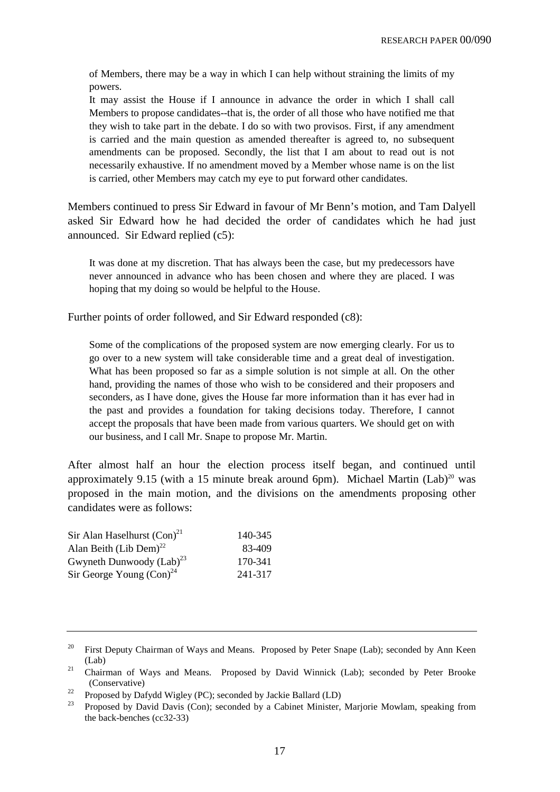of Members, there may be a way in which I can help without straining the limits of my powers.

It may assist the House if I announce in advance the order in which I shall call Members to propose candidates--that is, the order of all those who have notified me that they wish to take part in the debate. I do so with two provisos. First, if any amendment is carried and the main question as amended thereafter is agreed to, no subsequent amendments can be proposed. Secondly, the list that I am about to read out is not necessarily exhaustive. If no amendment moved by a Member whose name is on the list is carried, other Members may catch my eye to put forward other candidates.

Members continued to press Sir Edward in favour of Mr Benn's motion, and Tam Dalyell asked Sir Edward how he had decided the order of candidates which he had just announced. Sir Edward replied (c5):

It was done at my discretion. That has always been the case, but my predecessors have never announced in advance who has been chosen and where they are placed. I was hoping that my doing so would be helpful to the House.

Further points of order followed, and Sir Edward responded (c8):

Some of the complications of the proposed system are now emerging clearly. For us to go over to a new system will take considerable time and a great deal of investigation. What has been proposed so far as a simple solution is not simple at all. On the other hand, providing the names of those who wish to be considered and their proposers and seconders, as I have done, gives the House far more information than it has ever had in the past and provides a foundation for taking decisions today. Therefore, I cannot accept the proposals that have been made from various quarters. We should get on with our business, and I call Mr. Snape to propose Mr. Martin.

After almost half an hour the election process itself began, and continued until approximately 9.15 (with a 15 minute break around 6pm). Michael Martin  $(Lab)^{20}$  was proposed in the main motion, and the divisions on the amendments proposing other candidates were as follows:

| 140-345 |
|---------|
| 83-409  |
| 170-341 |
| 241-317 |
|         |

<sup>&</sup>lt;sup>20</sup> First Deputy Chairman of Ways and Means. Proposed by Peter Snape (Lab); seconded by Ann Keen (Lab)

<sup>&</sup>lt;sup>21</sup> Chairman of Ways and Means. Proposed by David Winnick (Lab); seconded by Peter Brooke (Conservative)

<sup>&</sup>lt;sup>22</sup> Proposed by Dafydd Wigley (PC); seconded by Jackie Ballard (LD)<br><sup>23</sup> Proposed by David Davis (Can); seconded by a Cabinat Minister

<sup>23</sup> Proposed by David Davis (Con); seconded by a Cabinet Minister, Marjorie Mowlam, speaking from the back-benches (cc32-33)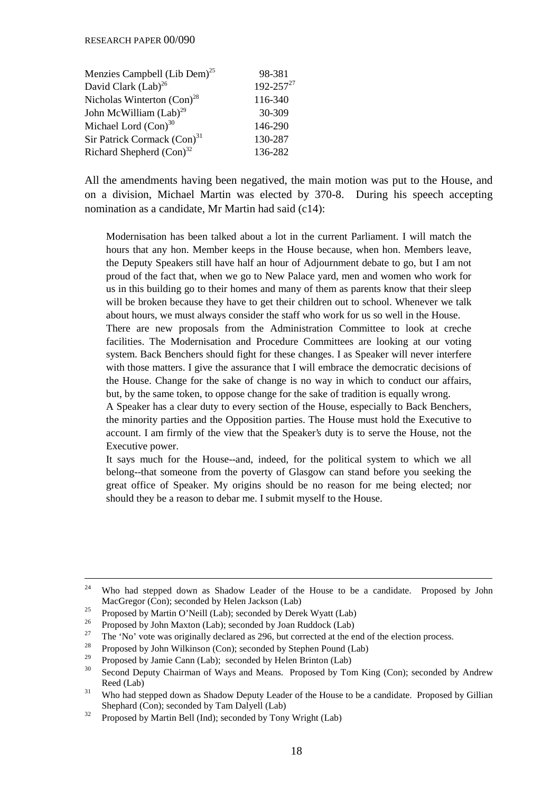| Menzies Campbell (Lib Dem) <sup>25</sup> | 98-381           |
|------------------------------------------|------------------|
| David Clark (Lab) <sup>26</sup>          | $192 - 257^{27}$ |
| Nicholas Winterton $(Con)^{28}$          | 116-340          |
| John McWilliam (Lab) <sup>29</sup>       | 30-309           |
| Michael Lord $(Con)^{30}$                | 146-290          |
| Sir Patrick Cormack (Con) <sup>31</sup>  | 130-287          |
| Richard Shepherd $(Con)^{32}$            | 136-282          |

All the amendments having been negatived, the main motion was put to the House, and on a division, Michael Martin was elected by 370-8. During his speech accepting nomination as a candidate, Mr Martin had said (c14):

Modernisation has been talked about a lot in the current Parliament. I will match the hours that any hon. Member keeps in the House because, when hon. Members leave, the Deputy Speakers still have half an hour of Adjournment debate to go, but I am not proud of the fact that, when we go to New Palace yard, men and women who work for us in this building go to their homes and many of them as parents know that their sleep will be broken because they have to get their children out to school. Whenever we talk about hours, we must always consider the staff who work for us so well in the House. There are new proposals from the Administration Committee to look at creche

facilities. The Modernisation and Procedure Committees are looking at our voting system. Back Benchers should fight for these changes. I as Speaker will never interfere with those matters. I give the assurance that I will embrace the democratic decisions of the House. Change for the sake of change is no way in which to conduct our affairs, but, by the same token, to oppose change for the sake of tradition is equally wrong.

A Speaker has a clear duty to every section of the House, especially to Back Benchers, the minority parties and the Opposition parties. The House must hold the Executive to account. I am firmly of the view that the Speaker's duty is to serve the House, not the Executive power.

It says much for the House--and, indeed, for the political system to which we all belong--that someone from the poverty of Glasgow can stand before you seeking the great office of Speaker. My origins should be no reason for me being elected; nor should they be a reason to debar me. I submit myself to the House.

<sup>&</sup>lt;sup>24</sup> Who had stepped down as Shadow Leader of the House to be a candidate. Proposed by John MacGregor (Con); seconded by Helen Jackson (Lab)

<sup>&</sup>lt;sup>25</sup> Proposed by Martin O'Neill (Lab); seconded by Derek Wyatt (Lab)

<sup>&</sup>lt;sup>26</sup> Proposed by John Maxton (Lab); seconded by Joan Ruddock (Lab)<br><sup>27</sup> The 'Ne' yets we estimally dealered as 206 by technologistic the se

<sup>&</sup>lt;sup>27</sup> The 'No' vote was originally declared as 296, but corrected at the end of the election process.

<sup>&</sup>lt;sup>28</sup> Proposed by John Wilkinson (Con); seconded by Stephen Pound (Lab)

Proposed by Jamie Cann (Lab); seconded by Helen Brinton (Lab)

<sup>&</sup>lt;sup>30</sup> Second Deputy Chairman of Ways and Means. Proposed by Tom King (Con); seconded by Andrew Reed (Lab)

<sup>&</sup>lt;sup>31</sup> Who had stepped down as Shadow Deputy Leader of the House to be a candidate. Proposed by Gillian Shephard (Con); seconded by Tam Dalyell (Lab)

 $32$  Proposed by Martin Bell (Ind); seconded by Tony Wright (Lab)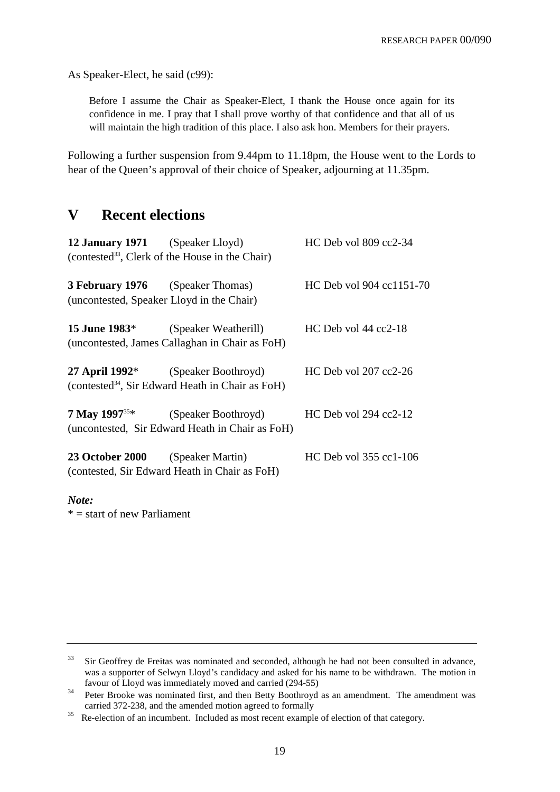As Speaker-Elect, he said (c99):

Before I assume the Chair as Speaker-Elect, I thank the House once again for its confidence in me. I pray that I shall prove worthy of that confidence and that all of us will maintain the high tradition of this place. I also ask hon. Members for their prayers.

Following a further suspension from 9.44pm to 11.18pm, the House went to the Lords to hear of the Queen's approval of their choice of Speaker, adjourning at 11.35pm.

### **V Recent elections**

| 12 January 1971 (Speaker Lloyd)           |                                                                                                                | HC Deb vol 809 cc2-34    |
|-------------------------------------------|----------------------------------------------------------------------------------------------------------------|--------------------------|
|                                           | (contested <sup>33</sup> , Clerk of the House in the Chair)                                                    |                          |
| (uncontested, Speaker Lloyd in the Chair) | <b>3 February 1976</b> (Speaker Thomas)                                                                        | HC Deb vol 904 cc1151-70 |
|                                           | <b>15 June 1983</b> <sup>*</sup> (Speaker Weatherill)<br>(uncontested, James Callaghan in Chair as FoH)        | $HC$ Deb vol 44 cc2-18   |
|                                           | 27 April 1992 <sup>*</sup> (Speaker Boothroyd)<br>(contested <sup>34</sup> , Sir Edward Heath in Chair as FoH) | HC Deb vol 207 cc2-26    |
|                                           | <b>7 May 1997</b> <sup>35*</sup> (Speaker Boothroyd)<br>(uncontested, Sir Edward Heath in Chair as FoH)        | $HC$ Deb vol 294 cc2-12  |
| <b>23 October 2000</b> (Speaker Martin)   | (contested, Sir Edward Heath in Chair as FoH)                                                                  | HC Deb vol 355 cc1-106   |
| Note:                                     |                                                                                                                |                          |

 $* =$  start of new Parliament

<sup>&</sup>lt;sup>33</sup> Sir Geoffrey de Freitas was nominated and seconded, although he had not been consulted in advance, was a supporter of Selwyn Lloyd's candidacy and asked for his name to be withdrawn. The motion in favour of Lloyd was immediately moved and carried (294-55)

<sup>&</sup>lt;sup>34</sup> Peter Brooke was nominated first, and then Betty Boothroyd as an amendment. The amendment was carried 372-238, and the amended motion agreed to formally

<sup>&</sup>lt;sup>35</sup> Re-election of an incumbent. Included as most recent example of election of that category.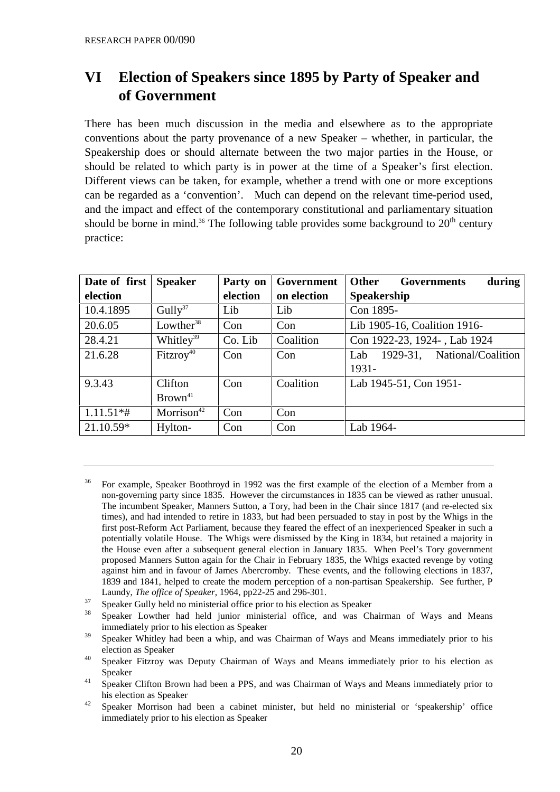# **VI Election of Speakers since 1895 by Party of Speaker and of Government**

There has been much discussion in the media and elsewhere as to the appropriate conventions about the party provenance of a new Speaker – whether, in particular, the Speakership does or should alternate between the two major parties in the House, or should be related to which party is in power at the time of a Speaker's first election. Different views can be taken, for example, whether a trend with one or more exceptions can be regarded as a 'convention'. Much can depend on the relevant time-period used, and the impact and effect of the contemporary constitutional and parliamentary situation should be borne in mind.<sup>36</sup> The following table provides some background to  $20<sup>th</sup>$  century practice:

| Date of first | <b>Speaker</b>         | Party on | Government  | <b>Other</b><br><b>Governments</b><br>during |
|---------------|------------------------|----------|-------------|----------------------------------------------|
| election      |                        | election | on election | <b>Speakership</b>                           |
| 10.4.1895     | Gully <sup>37</sup>    | Lib      | Lib         | Con 1895-                                    |
| 20.6.05       | Lowther $38$           | Con      | Con         | Lib 1905-16, Coalition 1916-                 |
| 28.4.21       | Whitley <sup>39</sup>  | Co. Lib  | Coalition   | Con 1922-23, 1924-, Lab 1924                 |
| 21.6.28       | $Fitzroy^{40}$         | Con      | Con         | National/Coalition<br>1929-31,<br>Lab        |
|               |                        |          |             | 1931-                                        |
| 9.3.43        | Clifton                | Con      | Coalition   | Lab 1945-51, Con 1951-                       |
|               | Brown <sup>41</sup>    |          |             |                                              |
| $1.11.51**$   | Morrison <sup>42</sup> | Con      | Con         |                                              |
| $21.10.59*$   | Hylton-                | Con      | Con         | Lab 1964-                                    |

<sup>37</sup> Speaker Gully held no ministerial office prior to his election as Speaker

<sup>39</sup> Speaker Whitley had been a whip, and was Chairman of Ways and Means immediately prior to his election as Speaker

<sup>&</sup>lt;sup>36</sup> For example, Speaker Boothroyd in 1992 was the first example of the election of a Member from a non-governing party since 1835. However the circumstances in 1835 can be viewed as rather unusual. The incumbent Speaker, Manners Sutton, a Tory, had been in the Chair since 1817 (and re-elected six times), and had intended to retire in 1833, but had been persuaded to stay in post by the Whigs in the first post-Reform Act Parliament, because they feared the effect of an inexperienced Speaker in such a potentially volatile House. The Whigs were dismissed by the King in 1834, but retained a majority in the House even after a subsequent general election in January 1835. When Peel's Tory government proposed Manners Sutton again for the Chair in February 1835, the Whigs exacted revenge by voting against him and in favour of James Abercromby. These events, and the following elections in 1837, 1839 and 1841, helped to create the modern perception of a non-partisan Speakership. See further, P Laundy, *The office of Speaker*, 1964, pp22-25 and 296-301.

<sup>38</sup> Speaker Lowther had held junior ministerial office, and was Chairman of Ways and Means immediately prior to his election as Speaker

<sup>&</sup>lt;sup>40</sup> Speaker Fitzroy was Deputy Chairman of Ways and Means immediately prior to his election as Speaker

<sup>&</sup>lt;sup>41</sup> Speaker Clifton Brown had been a PPS, and was Chairman of Ways and Means immediately prior to his election as Speaker

<sup>&</sup>lt;sup>42</sup> Speaker Morrison had been a cabinet minister, but held no ministerial or 'speakership' office immediately prior to his election as Speaker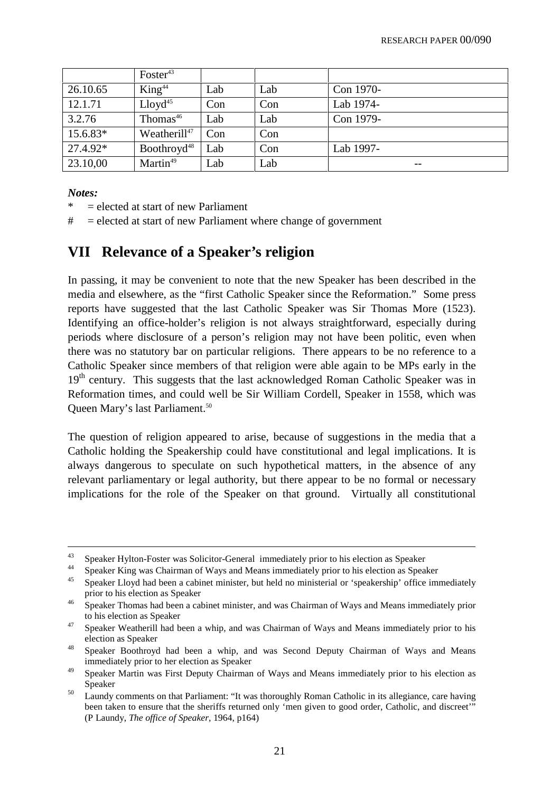|          | $Foster^{43}$            |     |     |           |
|----------|--------------------------|-----|-----|-----------|
| 26.10.65 | King <sup>44</sup>       | Lab | Lab | Con 1970- |
| 12.1.71  | Lloyd <sup>45</sup>      | Con | Con | Lab 1974- |
| 3.2.76   | Thomas <sup>46</sup>     | Lab | Lab | Con 1979- |
| 15.6.83* | Weatherill <sup>47</sup> | Con | Con |           |
| 27.4.92* | Boothroyd <sup>48</sup>  | Lab | Con | Lab 1997- |
| 23.10,00 | Martin <sup>49</sup>     | Lab | Lab | $- -$     |

### *Notes:*

- $=$  elected at start of new Parliament
- $\#$  = elected at start of new Parliament where change of government

### **VII Relevance of a Speaker's religion**

In passing, it may be convenient to note that the new Speaker has been described in the media and elsewhere, as the "first Catholic Speaker since the Reformation." Some press reports have suggested that the last Catholic Speaker was Sir Thomas More (1523). Identifying an office-holder's religion is not always straightforward, especially during periods where disclosure of a person's religion may not have been politic, even when there was no statutory bar on particular religions. There appears to be no reference to a Catholic Speaker since members of that religion were able again to be MPs early in the 19<sup>th</sup> century. This suggests that the last acknowledged Roman Catholic Speaker was in Reformation times, and could well be Sir William Cordell, Speaker in 1558, which was Queen Mary's last Parliament.50

The question of religion appeared to arise, because of suggestions in the media that a Catholic holding the Speakership could have constitutional and legal implications. It is always dangerous to speculate on such hypothetical matters, in the absence of any relevant parliamentary or legal authority, but there appear to be no formal or necessary implications for the role of the Speaker on that ground. Virtually all constitutional

<sup>&</sup>lt;sup>43</sup> Speaker Hylton-Foster was Solicitor-General immediately prior to his election as Speaker

<sup>&</sup>lt;sup>44</sup> Speaker King was Chairman of Ways and Means immediately prior to his election as Speaker

<sup>45</sup> Speaker Lloyd had been a cabinet minister, but held no ministerial or 'speakership' office immediately prior to his election as Speaker

<sup>&</sup>lt;sup>46</sup> Speaker Thomas had been a cabinet minister, and was Chairman of Ways and Means immediately prior to his election as Speaker

<sup>&</sup>lt;sup>47</sup> Speaker Weatherill had been a whip, and was Chairman of Ways and Means immediately prior to his election as Speaker

<sup>48</sup> Speaker Boothroyd had been a whip, and was Second Deputy Chairman of Ways and Means immediately prior to her election as Speaker

<sup>&</sup>lt;sup>49</sup> Speaker Martin was First Deputy Chairman of Ways and Means immediately prior to his election as Speaker

<sup>&</sup>lt;sup>50</sup> Laundy comments on that Parliament: "It was thoroughly Roman Catholic in its allegiance, care having been taken to ensure that the sheriffs returned only 'men given to good order, Catholic, and discreet'" (P Laundy, *The office of Speaker*, 1964, p164)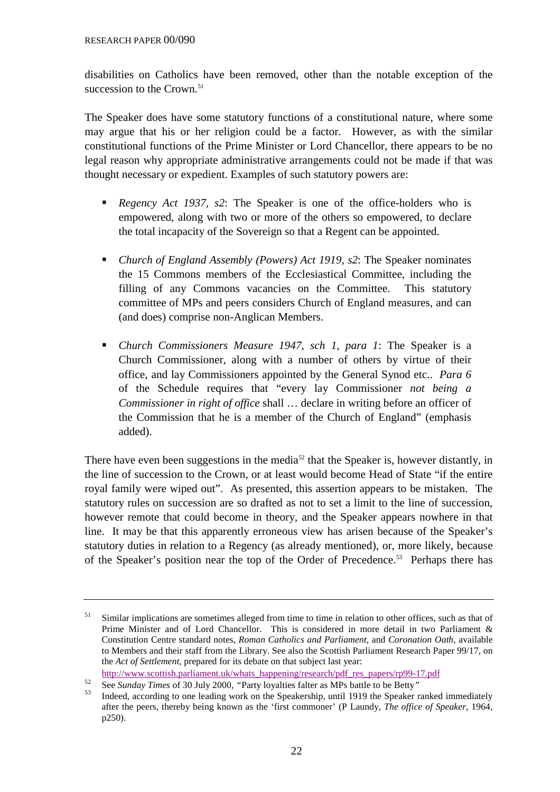disabilities on Catholics have been removed, other than the notable exception of the succession to the Crown.<sup>51</sup>

The Speaker does have some statutory functions of a constitutional nature, where some may argue that his or her religion could be a factor. However, as with the similar constitutional functions of the Prime Minister or Lord Chancellor, there appears to be no legal reason why appropriate administrative arrangements could not be made if that was thought necessary or expedient. Examples of such statutory powers are:

- *Regency Act 1937, s2*: The Speaker is one of the office-holders who is empowered, along with two or more of the others so empowered, to declare the total incapacity of the Sovereign so that a Regent can be appointed.
- *Church of England Assembly (Powers) Act 1919, s2*: The Speaker nominates the 15 Commons members of the Ecclesiastical Committee, including the filling of any Commons vacancies on the Committee. This statutory committee of MPs and peers considers Church of England measures, and can (and does) comprise non-Anglican Members.
- *Church Commissioners Measure 1947, sch 1, para 1*: The Speaker is a Church Commissioner, along with a number of others by virtue of their office, and lay Commissioners appointed by the General Synod etc.. *Para 6* of the Schedule requires that "every lay Commissioner *not being a Commissioner in right of office* shall … declare in writing before an officer of the Commission that he is a member of the Church of England" (emphasis added).

There have even been suggestions in the media<sup>52</sup> that the Speaker is, however distantly, in the line of succession to the Crown, or at least would become Head of State "if the entire royal family were wiped out". As presented, this assertion appears to be mistaken. The statutory rules on succession are so drafted as not to set a limit to the line of succession, however remote that could become in theory, and the Speaker appears nowhere in that line. It may be that this apparently erroneous view has arisen because of the Speaker's statutory duties in relation to a Regency (as already mentioned), or, more likely, because of the Speaker's position near the top of the Order of Precedence.<sup>53</sup> Perhaps there has

 $51$  Similar implications are sometimes alleged from time to time in relation to other offices, such as that of Prime Minister and of Lord Chancellor. This is considered in more detail in two Parliament & Constitution Centre standard notes, *Roman Catholics and Parliament*, and *Coronation Oath*, available to Members and their staff from the Library. See also the Scottish Parliament Research Paper 99/17, on the *Act of Settlement*, prepared for its debate on that subject last year:

[http://www.scottish.parliament.uk/whats\\_happening/research/pdf\\_res\\_papers/rp99-17.pdf](http://www.scottish.parliament.uk/whats_happening/research/pdf_res_papers/rp99-17.pdf)<br>See Sunday Times of 30 July 2000, "Party loyalties falter as MPs battle to be Betty"

<sup>&</sup>lt;sup>52</sup> See *Sunday Times* of 30 July 2000, "Party loyalties falter as MPs battle to be Betty"<br><sup>53</sup> Indeed, according to one leading work on the Speakership, until 1919 the Speaker ranked immediately

after the peers, thereby being known as the 'first commoner' (P Laundy, *The office of Speaker*, 1964, p250).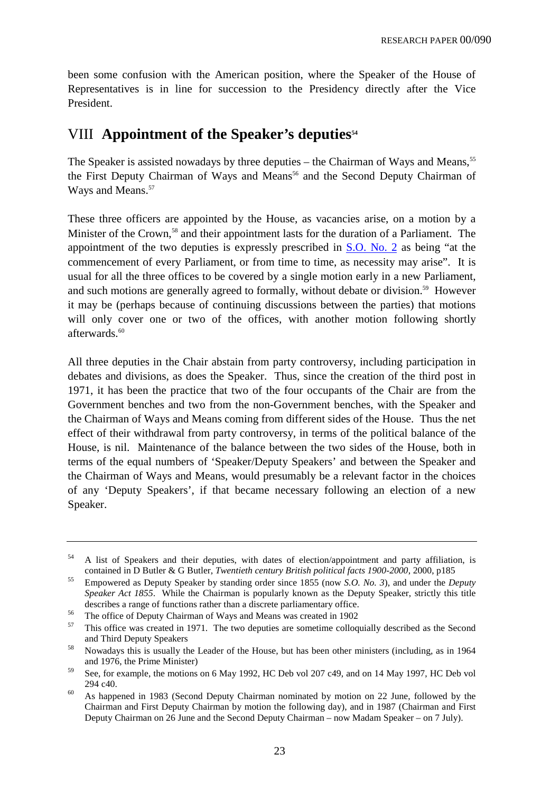been some confusion with the American position, where the Speaker of the House of Representatives is in line for succession to the Presidency directly after the Vice President.

### VIII Appointment of the Speaker's deputies<sup>54</sup>

The Speaker is assisted nowadays by three deputies – the Chairman of Ways and Means,  $55$ the First Deputy Chairman of Ways and Means<sup>56</sup> and the Second Deputy Chairman of Ways and Means.<sup>57</sup>

These three officers are appointed by the House, as vacancies arise, on a motion by a Minister of the Crown,<sup>58</sup> and their appointment lasts for the duration of a Parliament. The appointment of the two deputies is expressly prescribed in S.O. No. 2 as being "at the commencement of every Parliament, or from time to time, as necessity may arise". It is usual for all the three offices to be covered by a single motion early in a new Parliament, and such motions are generally agreed to formally, without debate or division.<sup>59</sup> However it may be (perhaps because of continuing discussions between the parties) that motions will only cover one or two of the offices, with another motion following shortly afterwards.<sup>60</sup>

All three deputies in the Chair abstain from party controversy, including participation in debates and divisions, as does the Speaker. Thus, since the creation of the third post in 1971, it has been the practice that two of the four occupants of the Chair are from the Government benches and two from the non-Government benches, with the Speaker and the Chairman of Ways and Means coming from different sides of the House. Thus the net effect of their withdrawal from party controversy, in terms of the political balance of the House, is nil. Maintenance of the balance between the two sides of the House, both in terms of the equal numbers of 'Speaker/Deputy Speakers' and between the Speaker and the Chairman of Ways and Means, would presumably be a relevant factor in the choices of any 'Deputy Speakers', if that became necessary following an election of a new Speaker.

<sup>&</sup>lt;sup>54</sup> A list of Speakers and their deputies, with dates of election/appointment and party affiliation, is contained in D Butler & G Butler, *Twentieth century British political facts 1900-2000*, 2000, p185

<sup>55</sup> Empowered as Deputy Speaker by standing order since 1855 (now *S.O. No. 3*), and under the *Deputy Speaker Act 1855*. While the Chairman is popularly known as the Deputy Speaker, strictly this title describes a range of functions rather than a discrete parliamentary office.

<sup>&</sup>lt;sup>56</sup> The office of Deputy Chairman of Ways and Means was created in 1902

<sup>57</sup> This office was created in 1971. The two deputies are sometime colloquially described as the Second and Third Deputy Speakers

<sup>58</sup> Nowadays this is usually the Leader of the House, but has been other ministers (including, as in 1964 and 1976, the Prime Minister)

<sup>59</sup> See, for example, the motions on 6 May 1992, HC Deb vol 207 c49, and on 14 May 1997, HC Deb vol 294 c40.

 $60$  As happened in 1983 (Second Deputy Chairman nominated by motion on 22 June, followed by the Chairman and First Deputy Chairman by motion the following day), and in 1987 (Chairman and First Deputy Chairman on 26 June and the Second Deputy Chairman – now Madam Speaker – on 7 July).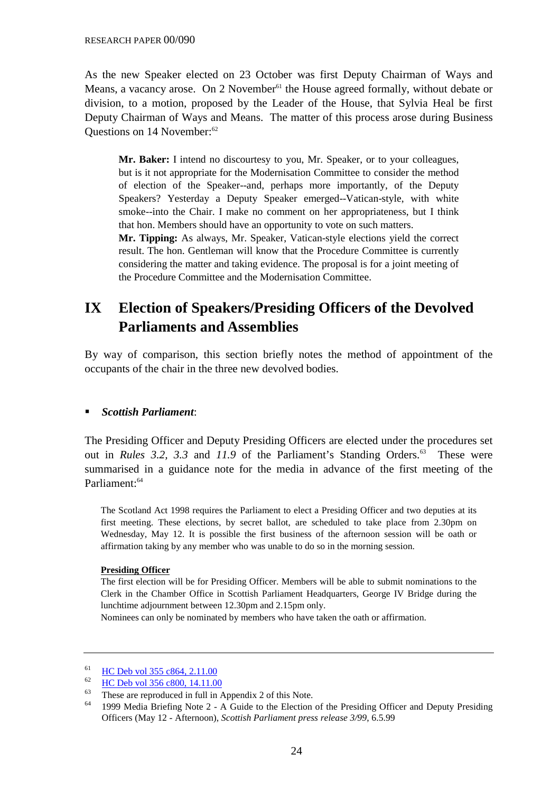As the new Speaker elected on 23 October was first Deputy Chairman of Ways and Means, a vacancy arose. On 2 November<sup>61</sup> the House agreed formally, without debate or division, to a motion, proposed by the Leader of the House, that Sylvia Heal be first Deputy Chairman of Ways and Means. The matter of this process arose during Business Questions on 14 November:<sup>62</sup>

**Mr. Baker:** I intend no discourtesy to you, Mr. Speaker, or to your colleagues, but is it not appropriate for the Modernisation Committee to consider the method of election of the Speaker--and, perhaps more importantly, of the Deputy Speakers? Yesterday a Deputy Speaker emerged--Vatican-style, with white smoke--into the Chair. I make no comment on her appropriateness, but I think that hon. Members should have an opportunity to vote on such matters.

**Mr. Tipping:** As always, Mr. Speaker, Vatican-style elections yield the correct result. The hon. Gentleman will know that the Procedure Committee is currently considering the matter and taking evidence. The proposal is for a joint meeting of the Procedure Committee and the Modernisation Committee.

# **IX Election of Speakers/Presiding Officers of the Devolved Parliaments and Assemblies**

By way of comparison, this section briefly notes the method of appointment of the occupants of the chair in the three new devolved bodies.

### *Scottish Parliament*:

The Presiding Officer and Deputy Presiding Officers are elected under the procedures set out in *Rules 3.2, 3.3* and 11.9 of the Parliament's Standing Orders.<sup>63</sup> These were summarised in a guidance note for the media in advance of the first meeting of the Parliament:64

The Scotland Act 1998 requires the Parliament to elect a Presiding Officer and two deputies at its first meeting. These elections, by secret ballot, are scheduled to take place from 2.30pm on Wednesday, May 12. It is possible the first business of the afternoon session will be oath or affirmation taking by any member who was unable to do so in the morning session.

#### **Presiding Officer**

The first election will be for Presiding Officer. Members will be able to submit nominations to the Clerk in the Chamber Office in Scottish Parliament Headquarters, George IV Bridge during the lunchtime adjournment between 12.30pm and 2.15pm only.

Nominees can only be nominated by members who have taken the oath or affirmation.

 $\frac{61}{62}$  HC Deb vol 355 c864, 2.11.00

 $\frac{62}{63}$  HC Deb vol 356 c800, 14.11.00

These are reproduced in full in Appendix 2 of this Note.

<sup>64</sup> 1999 Media Briefing Note 2 - A Guide to the Election of the Presiding Officer and Deputy Presiding Officers (May 12 - Afternoon), *Scottish Parliament press release 3/99*, 6.5.99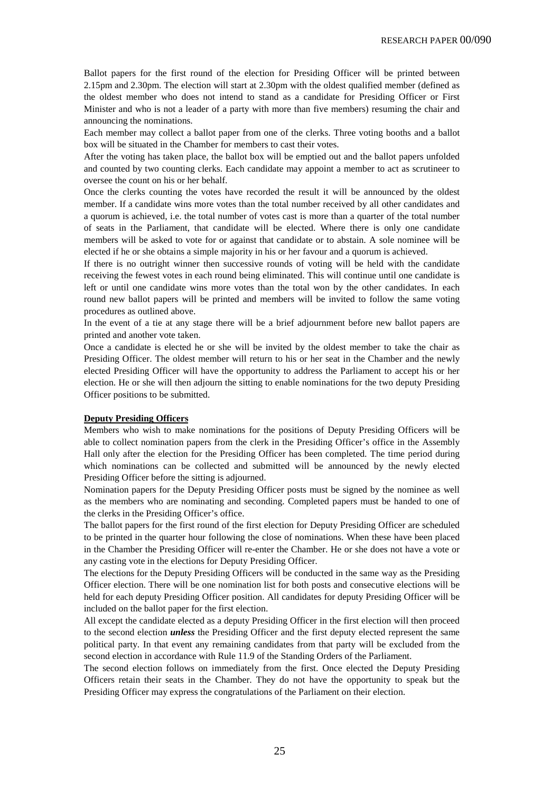Ballot papers for the first round of the election for Presiding Officer will be printed between 2.15pm and 2.30pm. The election will start at 2.30pm with the oldest qualified member (defined as the oldest member who does not intend to stand as a candidate for Presiding Officer or First Minister and who is not a leader of a party with more than five members) resuming the chair and announcing the nominations.

Each member may collect a ballot paper from one of the clerks. Three voting booths and a ballot box will be situated in the Chamber for members to cast their votes.

After the voting has taken place, the ballot box will be emptied out and the ballot papers unfolded and counted by two counting clerks. Each candidate may appoint a member to act as scrutineer to oversee the count on his or her behalf.

Once the clerks counting the votes have recorded the result it will be announced by the oldest member. If a candidate wins more votes than the total number received by all other candidates and a quorum is achieved, i.e. the total number of votes cast is more than a quarter of the total number of seats in the Parliament, that candidate will be elected. Where there is only one candidate members will be asked to vote for or against that candidate or to abstain. A sole nominee will be elected if he or she obtains a simple majority in his or her favour and a quorum is achieved.

If there is no outright winner then successive rounds of voting will be held with the candidate receiving the fewest votes in each round being eliminated. This will continue until one candidate is left or until one candidate wins more votes than the total won by the other candidates. In each round new ballot papers will be printed and members will be invited to follow the same voting procedures as outlined above.

In the event of a tie at any stage there will be a brief adjournment before new ballot papers are printed and another vote taken.

Once a candidate is elected he or she will be invited by the oldest member to take the chair as Presiding Officer. The oldest member will return to his or her seat in the Chamber and the newly elected Presiding Officer will have the opportunity to address the Parliament to accept his or her election. He or she will then adjourn the sitting to enable nominations for the two deputy Presiding Officer positions to be submitted.

#### **Deputy Presiding Officers**

Members who wish to make nominations for the positions of Deputy Presiding Officers will be able to collect nomination papers from the clerk in the Presiding Officer's office in the Assembly Hall only after the election for the Presiding Officer has been completed. The time period during which nominations can be collected and submitted will be announced by the newly elected Presiding Officer before the sitting is adjourned.

Nomination papers for the Deputy Presiding Officer posts must be signed by the nominee as well as the members who are nominating and seconding. Completed papers must be handed to one of the clerks in the Presiding Officer's office.

The ballot papers for the first round of the first election for Deputy Presiding Officer are scheduled to be printed in the quarter hour following the close of nominations. When these have been placed in the Chamber the Presiding Officer will re-enter the Chamber. He or she does not have a vote or any casting vote in the elections for Deputy Presiding Officer.

The elections for the Deputy Presiding Officers will be conducted in the same way as the Presiding Officer election. There will be one nomination list for both posts and consecutive elections will be held for each deputy Presiding Officer position. All candidates for deputy Presiding Officer will be included on the ballot paper for the first election.

All except the candidate elected as a deputy Presiding Officer in the first election will then proceed to the second election *unless* the Presiding Officer and the first deputy elected represent the same political party. In that event any remaining candidates from that party will be excluded from the second election in accordance with Rule 11.9 of the Standing Orders of the Parliament.

The second election follows on immediately from the first. Once elected the Deputy Presiding Officers retain their seats in the Chamber. They do not have the opportunity to speak but the Presiding Officer may express the congratulations of the Parliament on their election.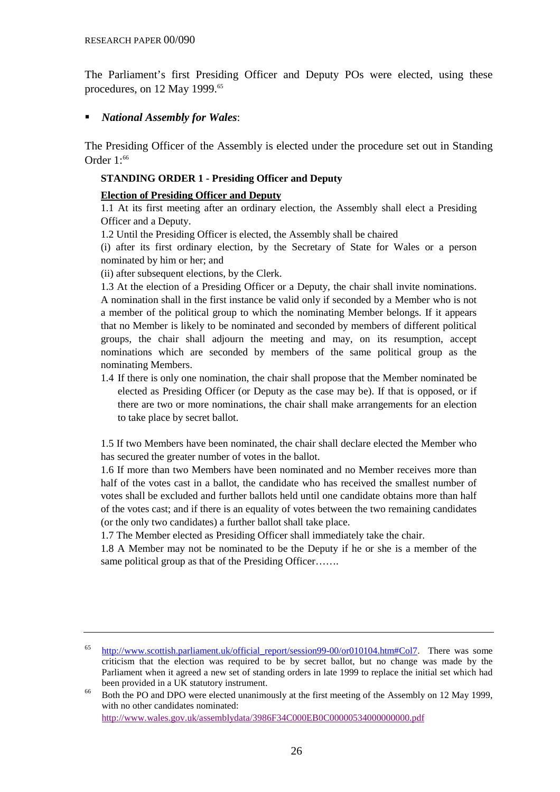The Parliament's first Presiding Officer and Deputy POs were elected, using these procedures, on 12 May 1999.<sup>65</sup>

### *National Assembly for Wales*:

The Presiding Officer of the Assembly is elected under the procedure set out in Standing Order  $1:66$ 

### **STANDING ORDER 1 - Presiding Officer and Deputy**

### **Election of Presiding Officer and Deputy**

1.1 At its first meeting after an ordinary election, the Assembly shall elect a Presiding Officer and a Deputy.

1.2 Until the Presiding Officer is elected, the Assembly shall be chaired

(i) after its first ordinary election, by the Secretary of State for Wales or a person nominated by him or her; and

(ii) after subsequent elections, by the Clerk.

1.3 At the election of a Presiding Officer or a Deputy, the chair shall invite nominations. A nomination shall in the first instance be valid only if seconded by a Member who is not a member of the political group to which the nominating Member belongs. If it appears that no Member is likely to be nominated and seconded by members of different political groups, the chair shall adjourn the meeting and may, on its resumption, accept nominations which are seconded by members of the same political group as the nominating Members.

1.4 If there is only one nomination, the chair shall propose that the Member nominated be elected as Presiding Officer (or Deputy as the case may be). If that is opposed, or if there are two or more nominations, the chair shall make arrangements for an election to take place by secret ballot.

1.5 If two Members have been nominated, the chair shall declare elected the Member who has secured the greater number of votes in the ballot.

1.6 If more than two Members have been nominated and no Member receives more than half of the votes cast in a ballot, the candidate who has received the smallest number of votes shall be excluded and further ballots held until one candidate obtains more than half of the votes cast; and if there is an equality of votes between the two remaining candidates (or the only two candidates) a further ballot shall take place.

1.7 The Member elected as Presiding Officer shall immediately take the chair.

1.8 A Member may not be nominated to be the Deputy if he or she is a member of the same political group as that of the Presiding Officer…….

<http://www.wales.gov.uk/assemblydata/3986F34C000EB0C00000534000000000.pdf>

<sup>65</sup> [http://www.scottish.parliament.uk/official\\_report/session99-00/or010104.htm#Col7. Th](http://www.scottish.parliament.uk/official_report/session99-00/or010104.htm#Col7)ere was some criticism that the election was required to be by secret ballot, but no change was made by the Parliament when it agreed a new set of standing orders in late 1999 to replace the initial set which had been provided in a UK statutory instrument.

<sup>&</sup>lt;sup>66</sup> Both the PO and DPO were elected unanimously at the first meeting of the Assembly on 12 May 1999, with no other candidates nominated: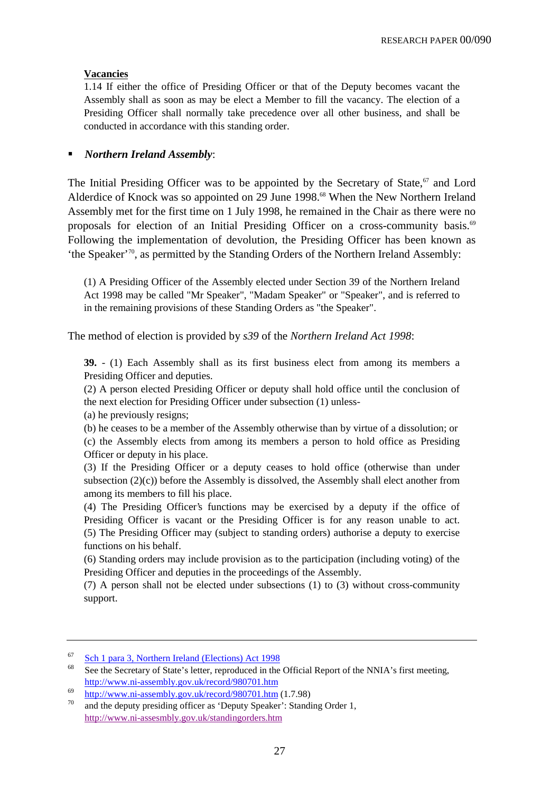### **Vacancies**

1.14 If either the office of Presiding Officer or that of the Deputy becomes vacant the Assembly shall as soon as may be elect a Member to fill the vacancy. The election of a Presiding Officer shall normally take precedence over all other business, and shall be conducted in accordance with this standing order.

### *Northern Ireland Assembly*:

The Initial Presiding Officer was to be appointed by the Secretary of State, $67$  and Lord Alderdice of Knock was so appointed on 29 June 1998.<sup>68</sup> When the New Northern Ireland Assembly met for the first time on 1 July 1998, he remained in the Chair as there were no proposals for election of an Initial Presiding Officer on a cross-community basis.<sup>69</sup> Following the implementation of devolution, the Presiding Officer has been known as 'the Speaker' 70, as permitted by the Standing Orders of the Northern Ireland Assembly:

(1) A Presiding Officer of the Assembly elected under Section 39 of the Northern Ireland Act 1998 may be called "Mr Speaker", "Madam Speaker" or "Speaker", and is referred to in the remaining provisions of these Standing Orders as "the Speaker".

The method of election is provided by *s39* of the *Northern Ireland Act 1998*:

**39.** - (1) Each Assembly shall as its first business elect from among its members a Presiding Officer and deputies.

(2) A person elected Presiding Officer or deputy shall hold office until the conclusion of the next election for Presiding Officer under subsection (1) unless-

(a) he previously resigns;

(b) he ceases to be a member of the Assembly otherwise than by virtue of a dissolution; or (c) the Assembly elects from among its members a person to hold office as Presiding Officer or deputy in his place.

(3) If the Presiding Officer or a deputy ceases to hold office (otherwise than under subsection  $(2)(c)$  before the Assembly is dissolved, the Assembly shall elect another from among its members to fill his place.

(4) The Presiding Officer's functions may be exercised by a deputy if the office of Presiding Officer is vacant or the Presiding Officer is for any reason unable to act. (5) The Presiding Officer may (subject to standing orders) authorise a deputy to exercise functions on his behalf.

(6) Standing orders may include provision as to the participation (including voting) of the Presiding Officer and deputies in the proceedings of the Assembly.

(7) A person shall not be elected under subsections (1) to (3) without cross-community support.

 $\frac{67}{68}$  Sch 1 para 3, Northern Ireland (Elections) Act 1998

See the Secretary of State's letter, reproduced in the Official Report of the NNIA's first meeting, <http://www.ni-assembly.gov.uk/record/980701.htm>

 $\frac{69}{10}$  [http://www.ni-assembly.gov.uk/record/980701.htm \(1.7.98](http://www.ni-assembly.gov.uk/record/980701.htm))

and the deputy presiding officer as 'Deputy Speaker': Standing Order 1, http://www.ni-assesmbly.gov.uk/standingorders.htm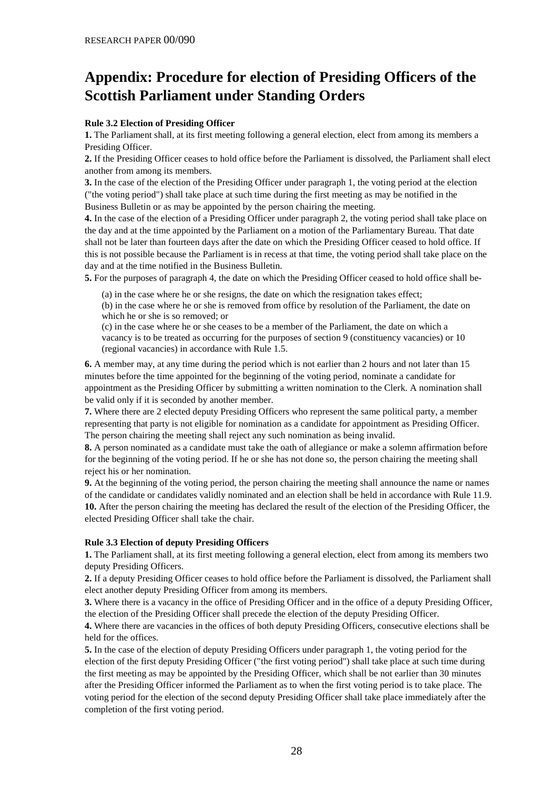# **Appendix: Procedure for election of Presiding Officers of the Scottish Parliament under Standing Orders**

#### **Rule 3.2 Election of Presiding Officer**

**1.** The Parliament shall, at its first meeting following a general election, elect from among its members a Presiding Officer.

**2.** If the Presiding Officer ceases to hold office before the Parliament is dissolved, the Parliament shall elect another from among its members.

**3.** In the case of the election of the Presiding Officer under paragraph 1, the voting period at the election ("the voting period") shall take place at such time during the first meeting as may be notified in the Business Bulletin or as may be appointed by the person chairing the meeting.

**4.** In the case of the election of a Presiding Officer under paragraph 2, the voting period shall take place on the day and at the time appointed by the Parliament on a motion of the Parliamentary Bureau. That date shall not be later than fourteen days after the date on which the Presiding Officer ceased to hold office. If this is not possible because the Parliament is in recess at that time, the voting period shall take place on the day and at the time notified in the Business Bulletin.

**5.** For the purposes of paragraph 4, the date on which the Presiding Officer ceased to hold office shall be-

(a) in the case where he or she resigns, the date on which the resignation takes effect;

(b) in the case where he or she is removed from office by resolution of the Parliament, the date on which he or she is so removed; or

(c) in the case where he or she ceases to be a member of the Parliament, the date on which a vacancy is to be treated as occurring for the purposes of section 9 (constituency vacancies) or 10 (regional vacancies) in accordance with Rule 1.5.

**6.** A member may, at any time during the period which is not earlier than 2 hours and not later than 15 minutes before the time appointed for the beginning of the voting period, nominate a candidate for appointment as the Presiding Officer by submitting a written nomination to the Clerk. A nomination shall be valid only if it is seconded by another member.

**7.** Where there are 2 elected deputy Presiding Officers who represent the same political party, a member representing that party is not eligible for nomination as a candidate for appointment as Presiding Officer. The person chairing the meeting shall reject any such nomination as being invalid.

**8.** A person nominated as a candidate must take the oath of allegiance or make a solemn affirmation before for the beginning of the voting period. If he or she has not done so, the person chairing the meeting shall reject his or her nomination.

**9.** At the beginning of the voting period, the person chairing the meeting shall announce the name or names of the candidate or candidates validly nominated and an election shall be held in accordance with Rule 11.9. **10.** After the person chairing the meeting has declared the result of the election of the Presiding Officer, the elected Presiding Officer shall take the chair.

#### **Rule 3.3 Election of deputy Presiding Officers**

**1.** The Parliament shall, at its first meeting following a general election, elect from among its members two deputy Presiding Officers.

**2.** If a deputy Presiding Officer ceases to hold office before the Parliament is dissolved, the Parliament shall elect another deputy Presiding Officer from among its members.

**3.** Where there is a vacancy in the office of Presiding Officer and in the office of a deputy Presiding Officer, the election of the Presiding Officer shall precede the election of the deputy Presiding Officer.

**4.** Where there are vacancies in the offices of both deputy Presiding Officers, consecutive elections shall be held for the offices.

**5.** In the case of the election of deputy Presiding Officers under paragraph 1, the voting period for the election of the first deputy Presiding Officer ("the first voting period") shall take place at such time during the first meeting as may be appointed by the Presiding Officer, which shall be not earlier than 30 minutes after the Presiding Officer informed the Parliament as to when the first voting period is to take place. The voting period for the election of the second deputy Presiding Officer shall take place immediately after the completion of the first voting period.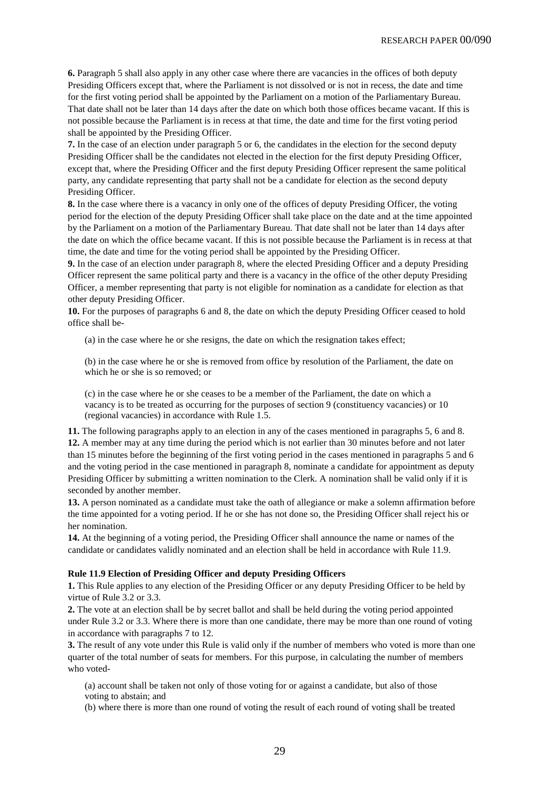**6.** Paragraph 5 shall also apply in any other case where there are vacancies in the offices of both deputy Presiding Officers except that, where the Parliament is not dissolved or is not in recess, the date and time for the first voting period shall be appointed by the Parliament on a motion of the Parliamentary Bureau. That date shall not be later than 14 days after the date on which both those offices became vacant. If this is not possible because the Parliament is in recess at that time, the date and time for the first voting period shall be appointed by the Presiding Officer.

**7.** In the case of an election under paragraph 5 or 6, the candidates in the election for the second deputy Presiding Officer shall be the candidates not elected in the election for the first deputy Presiding Officer, except that, where the Presiding Officer and the first deputy Presiding Officer represent the same political party, any candidate representing that party shall not be a candidate for election as the second deputy Presiding Officer.

**8.** In the case where there is a vacancy in only one of the offices of deputy Presiding Officer, the voting period for the election of the deputy Presiding Officer shall take place on the date and at the time appointed by the Parliament on a motion of the Parliamentary Bureau. That date shall not be later than 14 days after the date on which the office became vacant. If this is not possible because the Parliament is in recess at that time, the date and time for the voting period shall be appointed by the Presiding Officer.

**9.** In the case of an election under paragraph 8, where the elected Presiding Officer and a deputy Presiding Officer represent the same political party and there is a vacancy in the office of the other deputy Presiding Officer, a member representing that party is not eligible for nomination as a candidate for election as that other deputy Presiding Officer.

**10.** For the purposes of paragraphs 6 and 8, the date on which the deputy Presiding Officer ceased to hold office shall be-

(a) in the case where he or she resigns, the date on which the resignation takes effect;

(b) in the case where he or she is removed from office by resolution of the Parliament, the date on which he or she is so removed; or

(c) in the case where he or she ceases to be a member of the Parliament, the date on which a vacancy is to be treated as occurring for the purposes of section 9 (constituency vacancies) or 10 (regional vacancies) in accordance with Rule 1.5.

**11.** The following paragraphs apply to an election in any of the cases mentioned in paragraphs 5, 6 and 8. **12.** A member may at any time during the period which is not earlier than 30 minutes before and not later than 15 minutes before the beginning of the first voting period in the cases mentioned in paragraphs 5 and 6 and the voting period in the case mentioned in paragraph 8, nominate a candidate for appointment as deputy Presiding Officer by submitting a written nomination to the Clerk. A nomination shall be valid only if it is seconded by another member.

**13.** A person nominated as a candidate must take the oath of allegiance or make a solemn affirmation before the time appointed for a voting period. If he or she has not done so, the Presiding Officer shall reject his or her nomination.

**14.** At the beginning of a voting period, the Presiding Officer shall announce the name or names of the candidate or candidates validly nominated and an election shall be held in accordance with Rule 11.9.

#### **Rule 11.9 Election of Presiding Officer and deputy Presiding Officers**

**1.** This Rule applies to any election of the Presiding Officer or any deputy Presiding Officer to be held by virtue of Rule 3.2 or 3.3.

**2.** The vote at an election shall be by secret ballot and shall be held during the voting period appointed under Rule 3.2 or 3.3. Where there is more than one candidate, there may be more than one round of voting in accordance with paragraphs 7 to 12.

**3.** The result of any vote under this Rule is valid only if the number of members who voted is more than one quarter of the total number of seats for members. For this purpose, in calculating the number of members who voted-

(a) account shall be taken not only of those voting for or against a candidate, but also of those voting to abstain; and

(b) where there is more than one round of voting the result of each round of voting shall be treated